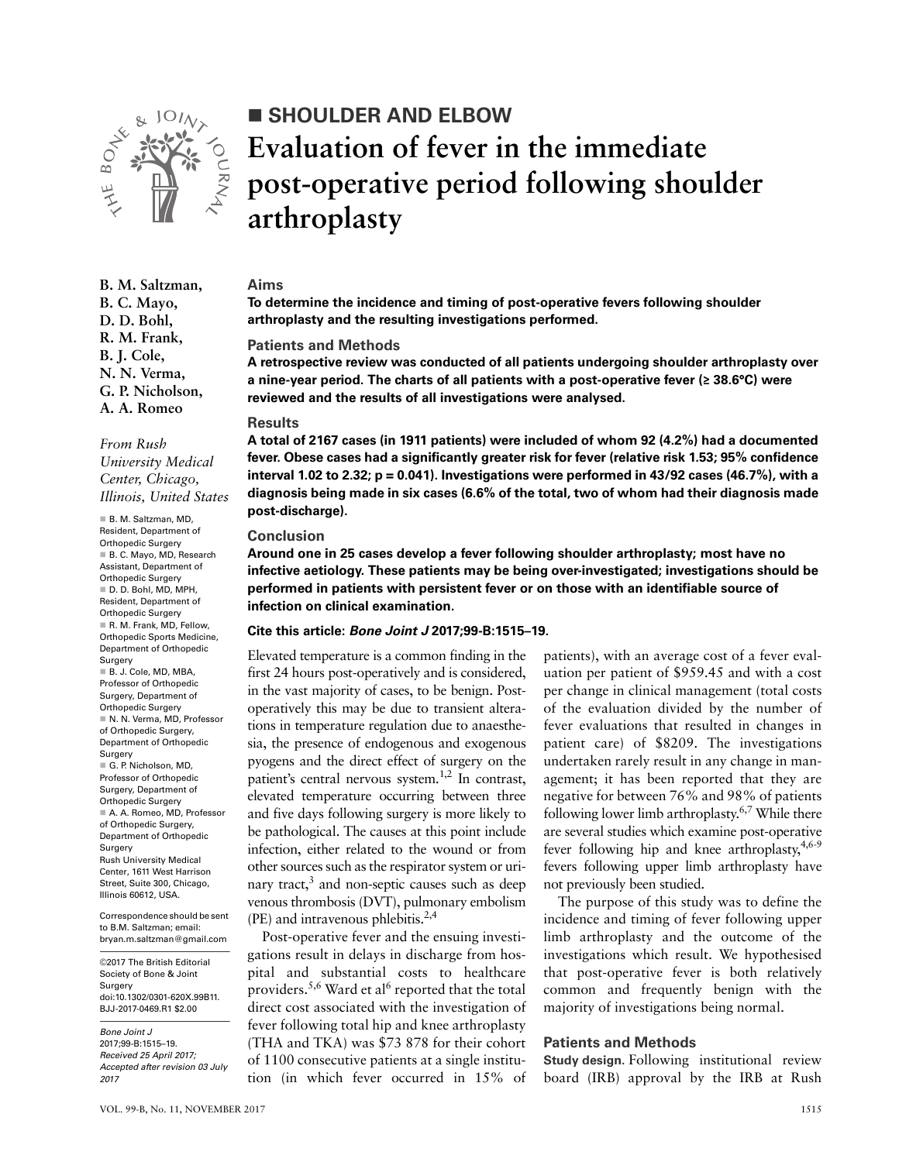

**B. M. Saltzman, B. C. Mayo, D. D. Bohl, R. M. Frank, B. J. Cole, N. N. Verma, G. P. Nicholson, A. A. Romeo**

*From Rush University Medical Center, Chicago, Illinois, United States*

 B. M. Saltzman, MD, Resident, Department of Orthopedic Surgery B. C. Mayo, MD, Research Assistant, Department of Orthopedic Surgery D. D. Bohl, MD, MPH, Resident, Department of Orthopedic Surgery R. M. Frank, MD, Fellow, Orthopedic Sports Medicine, Department of Orthopedic Surgery B. J. Cole, MD, MBA, Professor of Orthopedic Surgery, Department of Orthopedic Surgery ■ N. N. Verma, MD. Professor of Orthopedic Surgery, Department of Orthopedic Surgery G. P. Nicholson, MD, Professor of Orthopedic Surgery, Department of Orthopedic Surgery A. A. Romeo, MD, Professor of Orthopedic Surgery, Department of Orthopedic Surgery Rush University Medical Center, 1611 West Harrison Street, Suite 300, Chicago, Illinois 60612, USA. Correspondence should be sent

to B.M. Saltzman; email: bryan.m.saltzman@gmail.com

©2017 The British Editorial Society of Bone & Joint Surgery doi:10.1302/0301-620X.99B11. BJJ-2017-0469.R1 \$2.00

*Bone Joint J* 2017;99-B:1515–19. *Received 25 April 2017; Accepted after revision 03 July 2017*

# **SHOULDER AND ELBOW Evaluation of fever in the immediate post-operative period following shoulder arthroplasty**

### **Aims**

**To determine the incidence and timing of post-operative fevers following shoulder arthroplasty and the resulting investigations performed.**

#### **Patients and Methods**

**A retrospective review was conducted of all patients undergoing shoulder arthroplasty over a nine-year period. The charts of all patients with a post-operative fever (≥ 38.6°C) were reviewed and the results of all investigations were analysed.**

#### **Results**

**A total of 2167 cases (in 1911 patients) were included of whom 92 (4.2%) had a documented fever. Obese cases had a significantly greater risk for fever (relative risk 1.53; 95% confidence interval 1.02 to 2.32; p = 0.041). Investigations were performed in 43/92 cases (46.7%), with a diagnosis being made in six cases (6.6% of the total, two of whom had their diagnosis made post-discharge).**

#### **Conclusion**

**Around one in 25 cases develop a fever following shoulder arthroplasty; most have no infective aetiology. These patients may be being over-investigated; investigations should be performed in patients with persistent fever or on those with an identifiable source of infection on clinical examination.**

### **Cite this article:** *Bone Joint J* **2017;99-B:1515–19.**

Elevated temperature is a common finding in the first 24 hours post-operatively and is considered, in the vast majority of cases, to be benign. Postoperatively this may be due to transient alterations in temperature regulation due to anaesthesia, the presence of endogenous and exogenous pyogens and the direct effect of surgery on the patient's central nervous system.<sup>1,2</sup> In contrast, elevated temperature occurring between three and five days following surgery is more likely to be pathological. The causes at this point include infection, either related to the wound or from other sources such as the respirator system or urinary tract,<sup>3</sup> and non-septic causes such as deep venous thrombosis (DVT), pulmonary embolism (PE) and intravenous phlebitis.2,4

Post-operative fever and the ensuing investigations result in delays in discharge from hospital and substantial costs to healthcare providers.<sup>5,6</sup> Ward et al<sup>6</sup> reported that the total direct cost associated with the investigation of fever following total hip and knee arthroplasty (THA and TKA) was \$73 878 for their cohort of 1100 consecutive patients at a single institution (in which fever occurred in 15% of

patients), with an average cost of a fever evaluation per patient of \$959.45 and with a cost per change in clinical management (total costs of the evaluation divided by the number of fever evaluations that resulted in changes in patient care) of \$8209. The investigations undertaken rarely result in any change in management; it has been reported that they are negative for between 76% and 98% of patients following lower limb arthroplasty.<sup>6,7</sup> While there are several studies which examine post-operative fever following hip and knee arthroplasty, 4,6-9 fevers following upper limb arthroplasty have not previously been studied.

The purpose of this study was to define the incidence and timing of fever following upper limb arthroplasty and the outcome of the investigations which result. We hypothesised that post-operative fever is both relatively common and frequently benign with the majority of investigations being normal.

#### **Patients and Methods**

**Study design.** Following institutional review board (IRB) approval by the IRB at Rush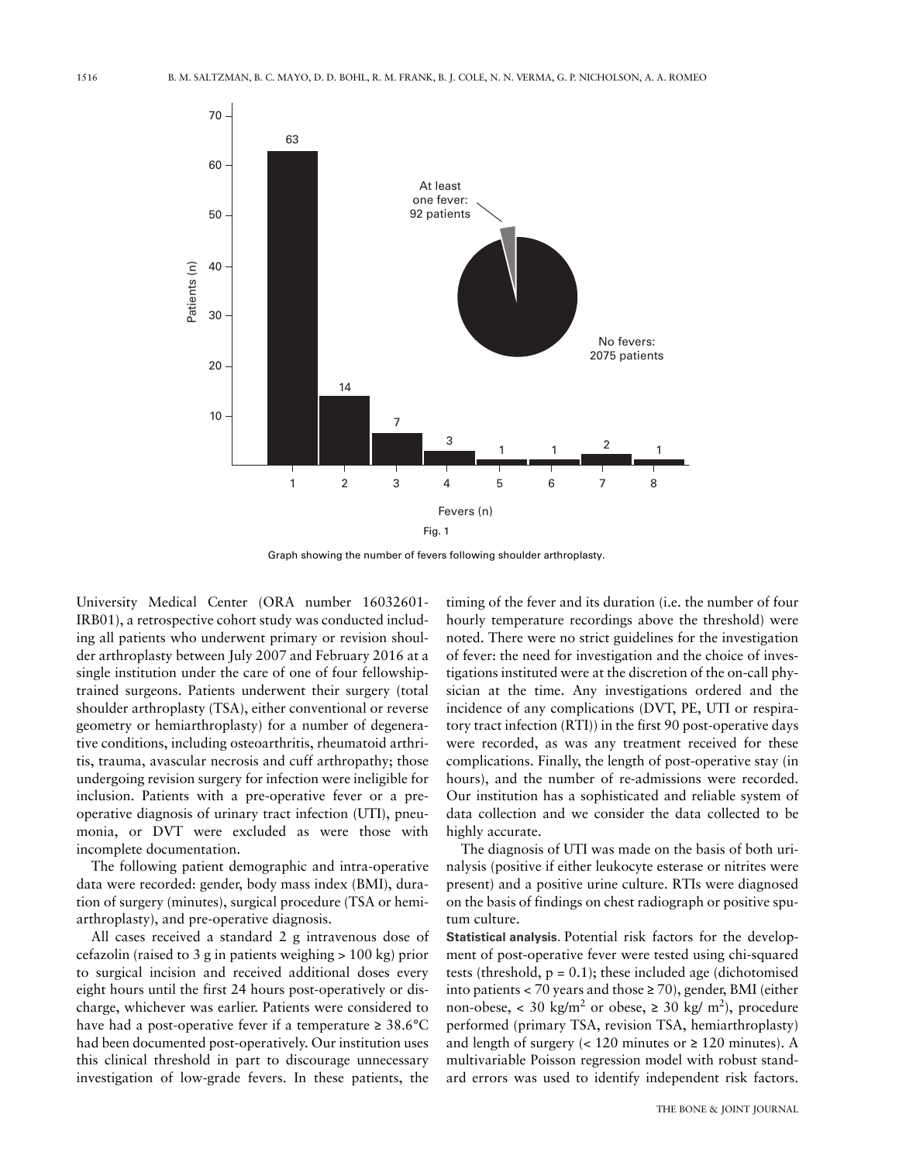

Graph showing the number of fevers following shoulder arthroplasty.

University Medical Center (ORA number 16032601- IRB01), a retrospective cohort study was conducted including all patients who underwent primary or revision shoulder arthroplasty between July 2007 and February 2016 at a single institution under the care of one of four fellowshiptrained surgeons. Patients underwent their surgery (total shoulder arthroplasty (TSA), either conventional or reverse geometry or hemiarthroplasty) for a number of degenerative conditions, including osteoarthritis, rheumatoid arthritis, trauma, avascular necrosis and cuff arthropathy; those undergoing revision surgery for infection were ineligible for inclusion. Patients with a pre-operative fever or a preoperative diagnosis of urinary tract infection (UTI), pneumonia, or DVT were excluded as were those with incomplete documentation.

The following patient demographic and intra-operative data were recorded: gender, body mass index (BMI), duration of surgery (minutes), surgical procedure (TSA or hemiarthroplasty), and pre-operative diagnosis.

All cases received a standard 2 g intravenous dose of cefazolin (raised to 3 g in patients weighing > 100 kg) prior to surgical incision and received additional doses every eight hours until the first 24 hours post-operatively or discharge, whichever was earlier. Patients were considered to have had a post-operative fever if a temperature  $\geq 38.6^{\circ}$ C had been documented post-operatively. Our institution uses this clinical threshold in part to discourage unnecessary investigation of low-grade fevers. In these patients, the

timing of the fever and its duration (i.e. the number of four hourly temperature recordings above the threshold) were noted. There were no strict guidelines for the investigation of fever: the need for investigation and the choice of investigations instituted were at the discretion of the on-call physician at the time. Any investigations ordered and the incidence of any complications (DVT, PE, UTI or respiratory tract infection (RTI)) in the first 90 post-operative days were recorded, as was any treatment received for these complications. Finally, the length of post-operative stay (in hours), and the number of re-admissions were recorded. Our institution has a sophisticated and reliable system of data collection and we consider the data collected to be highly accurate.

The diagnosis of UTI was made on the basis of both urinalysis (positive if either leukocyte esterase or nitrites were present) and a positive urine culture. RTIs were diagnosed on the basis of findings on chest radiograph or positive sputum culture.

**Statistical analysis.** Potential risk factors for the development of post-operative fever were tested using chi-squared tests (threshold,  $p = 0.1$ ); these included age (dichotomised into patients < 70 years and those  $\geq$  70), gender, BMI (either non-obese, < 30 kg/m<sup>2</sup> or obese,  $\geq$  30 kg/m<sup>2</sup>), procedure performed (primary TSA, revision TSA, hemiarthroplasty) and length of surgery  $\langle$  < 120 minutes or  $\geq$  120 minutes). A multivariable Poisson regression model with robust standard errors was used to identify independent risk factors.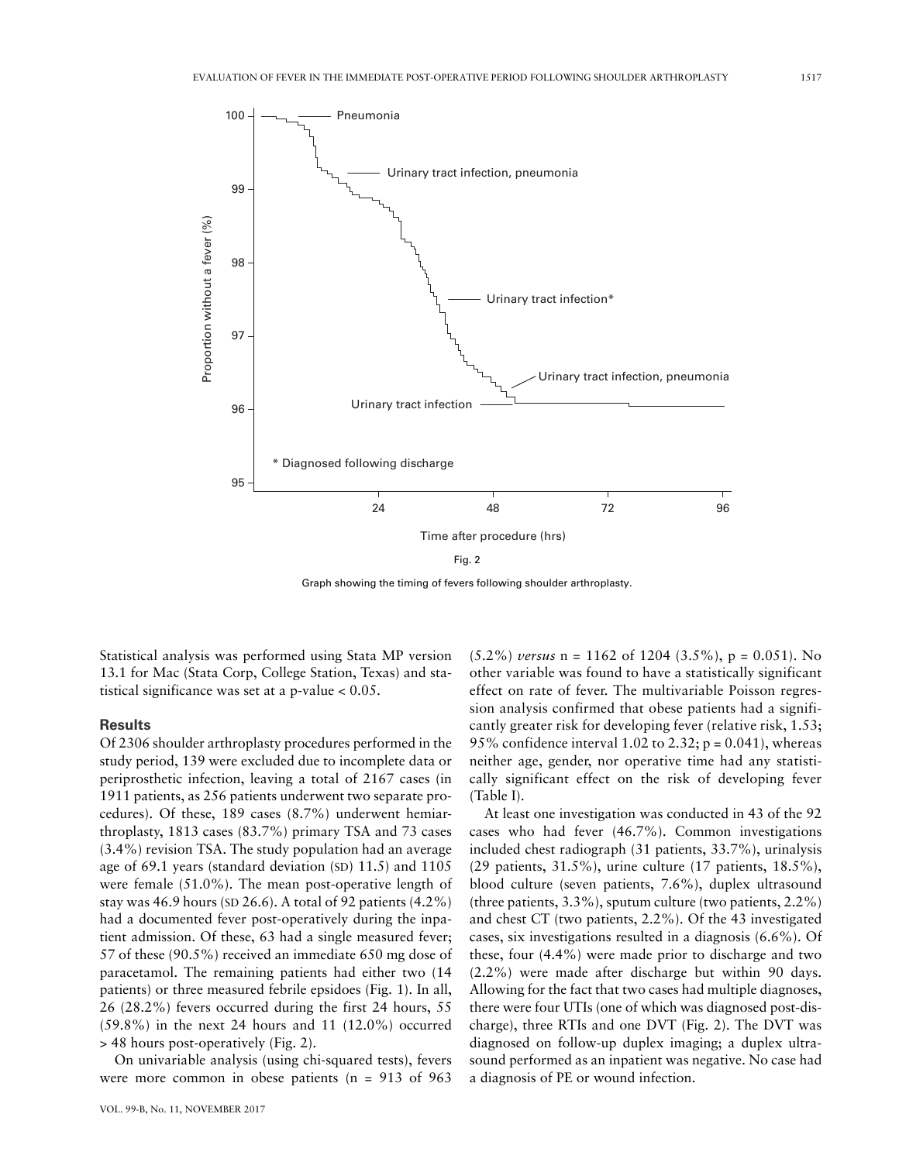



Graph showing the timing of fevers following shoulder arthroplasty.

Statistical analysis was performed using Stata MP version 13.1 for Mac (Stata Corp, College Station, Texas) and statistical significance was set at a p-value < 0.05.

# **Results**

Of 2306 shoulder arthroplasty procedures performed in the study period, 139 were excluded due to incomplete data or periprosthetic infection, leaving a total of 2167 cases (in 1911 patients, as 256 patients underwent two separate procedures). Of these, 189 cases (8.7%) underwent hemiarthroplasty, 1813 cases (83.7%) primary TSA and 73 cases (3.4%) revision TSA. The study population had an average age of 69.1 years (standard deviation (SD) 11.5) and 1105 were female (51.0%). The mean post-operative length of stay was 46.9 hours (SD 26.6). A total of 92 patients (4.2%) had a documented fever post-operatively during the inpatient admission. Of these, 63 had a single measured fever; 57 of these (90.5%) received an immediate 650 mg dose of paracetamol. The remaining patients had either two (14 patients) or three measured febrile epsidoes (Fig. 1). In all, 26 (28.2%) fevers occurred during the first 24 hours, 55 (59.8%) in the next 24 hours and 11 (12.0%) occurred > 48 hours post-operatively (Fig. 2).

On univariable analysis (using chi-squared tests), fevers were more common in obese patients (n = 913 of 963

 $(5.2\%)$  *versus* n = 1162 of 1204  $(3.5\%)$ , p = 0.051). No other variable was found to have a statistically significant effect on rate of fever. The multivariable Poisson regression analysis confirmed that obese patients had a significantly greater risk for developing fever (relative risk, 1.53; 95% confidence interval 1.02 to 2.32;  $p = 0.041$ ), whereas neither age, gender, nor operative time had any statistically significant effect on the risk of developing fever (Table I).

At least one investigation was conducted in 43 of the 92 cases who had fever (46.7%). Common investigations included chest radiograph (31 patients, 33.7%), urinalysis (29 patients, 31.5%), urine culture (17 patients, 18.5%), blood culture (seven patients, 7.6%), duplex ultrasound (three patients, 3.3%), sputum culture (two patients, 2.2%) and chest CT (two patients, 2.2%). Of the 43 investigated cases, six investigations resulted in a diagnosis (6.6%). Of these, four (4.4%) were made prior to discharge and two (2.2%) were made after discharge but within 90 days. Allowing for the fact that two cases had multiple diagnoses, there were four UTIs (one of which was diagnosed post-discharge), three RTIs and one DVT (Fig. 2). The DVT was diagnosed on follow-up duplex imaging; a duplex ultrasound performed as an inpatient was negative. No case had a diagnosis of PE or wound infection.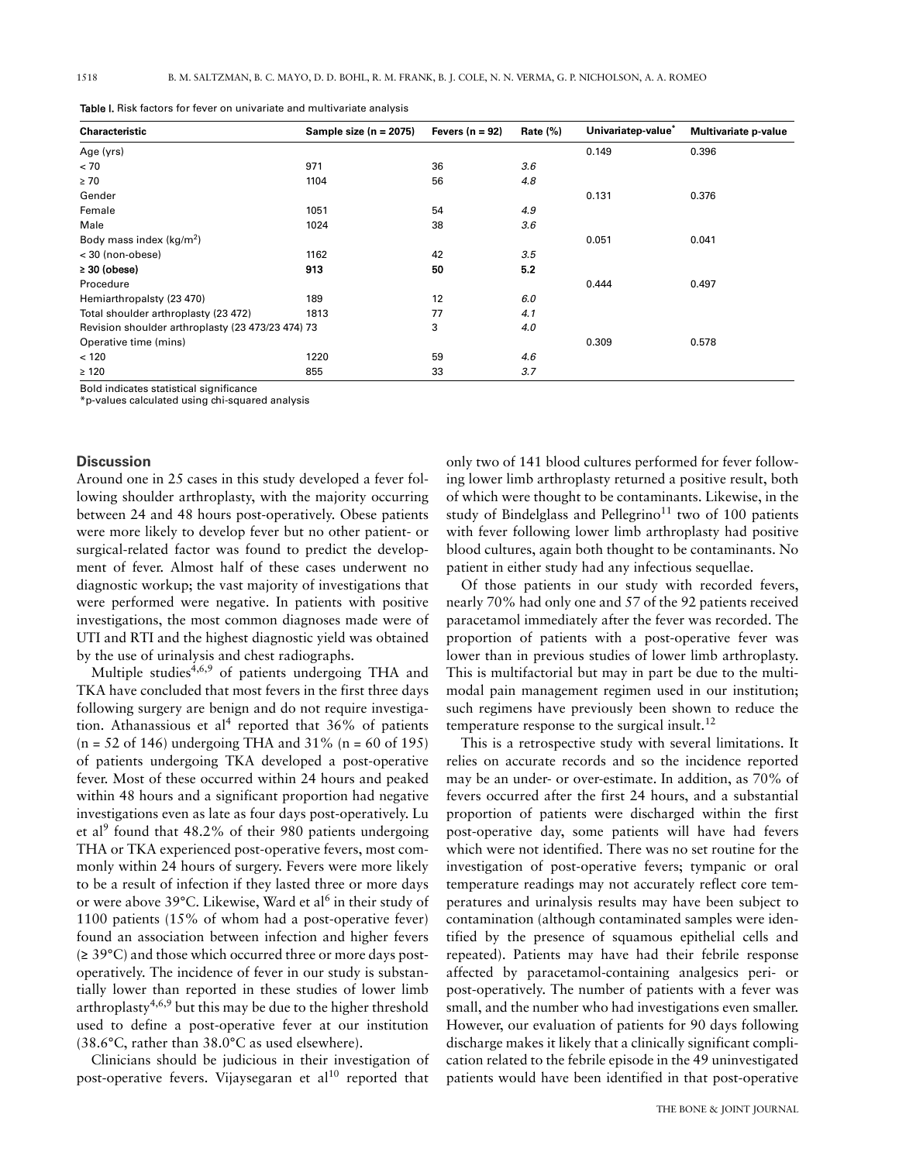| Characteristic                                    | Sample size $(n = 2075)$ | Fevers $(n = 92)$ | Rate $(\%)$ | Univariatep-value* | Multivariate p-value |
|---------------------------------------------------|--------------------------|-------------------|-------------|--------------------|----------------------|
| Age (yrs)                                         |                          |                   |             | 0.149              | 0.396                |
| < 70                                              | 971                      | 36                | 3.6         |                    |                      |
| $\geq 70$                                         | 1104                     | 56                | 4.8         |                    |                      |
| Gender                                            |                          |                   |             | 0.131              | 0.376                |
| Female                                            | 1051                     | 54                | 4.9         |                    |                      |
| Male                                              | 1024                     | 38                | 3.6         |                    |                      |
| Body mass index $(kq/m^2)$                        |                          |                   |             | 0.051              | 0.041                |
| < 30 (non-obese)                                  | 1162                     | 42                | 3.5         |                    |                      |
| $\geq 30$ (obese)                                 | 913                      | 50                | 5.2         |                    |                      |
| Procedure                                         |                          |                   |             | 0.444              | 0.497                |
| Hemiarthropalsty (23 470)                         | 189                      | 12                | 6.0         |                    |                      |
| Total shoulder arthroplasty (23 472)              | 1813                     | 77                | 4.1         |                    |                      |
| Revision shoulder arthroplasty (23 473/23 474) 73 |                          | 3                 | 4.0         |                    |                      |
| Operative time (mins)                             |                          |                   |             | 0.309              | 0.578                |
| < 120                                             | 1220                     | 59                | 4.6         |                    |                      |
| $\geq 120$                                        | 855                      | 33                | 3.7         |                    |                      |

Table I. Risk factors for fever on univariate and multivariate analysis

Bold indicates statistical significance

\*p-values calculated using chi-squared analysis

## **Discussion**

Around one in 25 cases in this study developed a fever following shoulder arthroplasty, with the majority occurring between 24 and 48 hours post-operatively. Obese patients were more likely to develop fever but no other patient- or surgical-related factor was found to predict the development of fever. Almost half of these cases underwent no diagnostic workup; the vast majority of investigations that were performed were negative. In patients with positive investigations, the most common diagnoses made were of UTI and RTI and the highest diagnostic yield was obtained by the use of urinalysis and chest radiographs.

Multiple studies $4,6,9$  of patients undergoing THA and TKA have concluded that most fevers in the first three days following surgery are benign and do not require investigation. Athanassious et al<sup>4</sup> reported that  $36\%$  of patients  $(n = 52 \text{ of } 146)$  undergoing THA and 31%  $(n = 60 \text{ of } 195)$ of patients undergoing TKA developed a post-operative fever. Most of these occurred within 24 hours and peaked within 48 hours and a significant proportion had negative investigations even as late as four days post-operatively. Lu et al<sup>9</sup> found that 48.2% of their 980 patients undergoing THA or TKA experienced post-operative fevers, most commonly within 24 hours of surgery. Fevers were more likely to be a result of infection if they lasted three or more days or were above 39°C. Likewise, Ward et al<sup>6</sup> in their study of 1100 patients (15% of whom had a post-operative fever) found an association between infection and higher fevers (≥ 39°C) and those which occurred three or more days postoperatively. The incidence of fever in our study is substantially lower than reported in these studies of lower limb arthroplasty<sup>4,6,9</sup> but this may be due to the higher threshold used to define a post-operative fever at our institution (38.6°C, rather than 38.0°C as used elsewhere).

Clinicians should be judicious in their investigation of post-operative fevers. Vijaysegaran et al<sup>10</sup> reported that

only two of 141 blood cultures performed for fever following lower limb arthroplasty returned a positive result, both of which were thought to be contaminants. Likewise, in the study of Bindelglass and Pellegrino<sup>11</sup> two of 100 patients with fever following lower limb arthroplasty had positive blood cultures, again both thought to be contaminants. No patient in either study had any infectious sequellae.

Of those patients in our study with recorded fevers, nearly 70% had only one and 57 of the 92 patients received paracetamol immediately after the fever was recorded. The proportion of patients with a post-operative fever was lower than in previous studies of lower limb arthroplasty. This is multifactorial but may in part be due to the multimodal pain management regimen used in our institution; such regimens have previously been shown to reduce the temperature response to the surgical insult. $^{12}$ 

This is a retrospective study with several limitations. It relies on accurate records and so the incidence reported may be an under- or over-estimate. In addition, as 70% of fevers occurred after the first 24 hours, and a substantial proportion of patients were discharged within the first post-operative day, some patients will have had fevers which were not identified. There was no set routine for the investigation of post-operative fevers; tympanic or oral temperature readings may not accurately reflect core temperatures and urinalysis results may have been subject to contamination (although contaminated samples were identified by the presence of squamous epithelial cells and repeated). Patients may have had their febrile response affected by paracetamol-containing analgesics peri- or post-operatively. The number of patients with a fever was small, and the number who had investigations even smaller. However, our evaluation of patients for 90 days following discharge makes it likely that a clinically significant complication related to the febrile episode in the 49 uninvestigated patients would have been identified in that post-operative